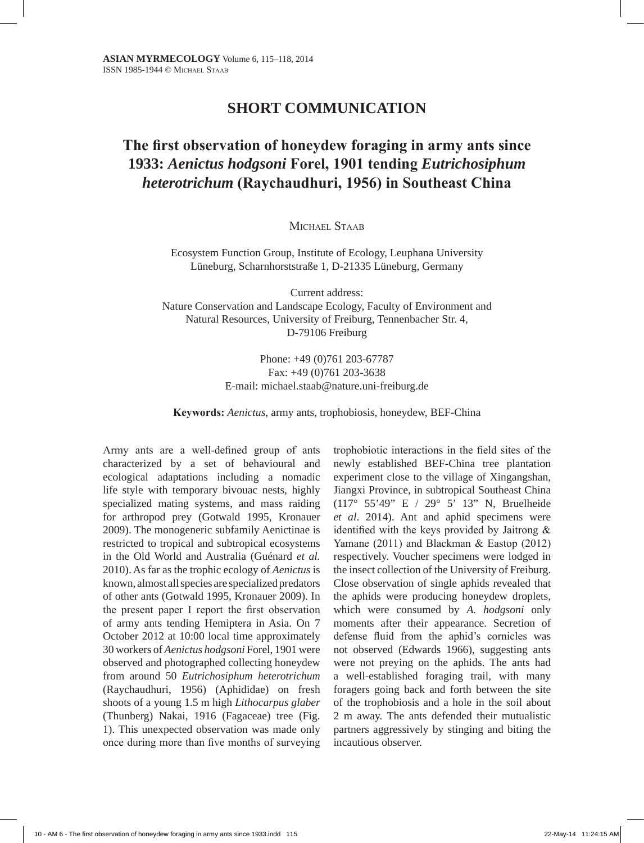## **SHORT COMMUNICATION**

## **The first observation of honeydew foraging in army ants since 1933:** *Aenictus hodgsoni* **Forel, 1901 tending** *Eutrichosiphum heterotrichum* **(Raychaudhuri, 1956) in Southeast China**

MICHAEL STAAR

Ecosystem Function Group, Institute of Ecology, Leuphana University Lüneburg, Scharnhorststraße 1, D-21335 Lüneburg, Germany

Current address: Nature Conservation and Landscape Ecology, Faculty of Environment and Natural Resources, University of Freiburg, Tennenbacher Str. 4, D-79106 Freiburg

> Phone: +49 (0)761 203-67787 Fax: +49 (0)761 203-3638 E-mail: michael.staab@nature.uni-freiburg.de

**Keywords:** *Aenictus*, army ants, trophobiosis, honeydew, BEF-China

Army ants are a well-defined group of ants characterized by a set of behavioural and ecological adaptations including a nomadic life style with temporary bivouac nests, highly specialized mating systems, and mass raiding for arthropod prey (Gotwald 1995, Kronauer 2009). The monogeneric subfamily Aenictinae is restricted to tropical and subtropical ecosystems in the Old World and Australia (Guénard *et al.* 2010). As far as the trophic ecology of *Aenictus* is known, almost all species are specialized predators of other ants (Gotwald 1995, Kronauer 2009). In the present paper I report the first observation of army ants tending Hemiptera in Asia. On 7 October 2012 at 10:00 local time approximately 30 workers of *Aenictus hodgsoni* Forel, 1901 were observed and photographed collecting honeydew from around 50 *Eutrichosiphum heterotrichum*  (Raychaudhuri, 1956) (Aphididae) on fresh shoots of a young 1.5 m high *Lithocarpus glaber* (Thunberg) Nakai, 1916 (Fagaceae) tree (Fig. 1). This unexpected observation was made only once during more than five months of surveying

trophobiotic interactions in the field sites of the newly established BEF-China tree plantation experiment close to the village of Xingangshan, Jiangxi Province, in subtropical Southeast China (117° 55'49" E / 29° 5' 13" N, Bruelheide *et al*. 2014). Ant and aphid specimens were identified with the keys provided by Jaitrong & Yamane (2011) and Blackman & Eastop (2012) respectively. Voucher specimens were lodged in the insect collection of the University of Freiburg. Close observation of single aphids revealed that the aphids were producing honeydew droplets, which were consumed by *A. hodgsoni* only moments after their appearance. Secretion of defense fluid from the aphid's cornicles was not observed (Edwards 1966), suggesting ants were not preying on the aphids. The ants had a well-established foraging trail, with many foragers going back and forth between the site of the trophobiosis and a hole in the soil about 2 m away. The ants defended their mutualistic partners aggressively by stinging and biting the incautious observer.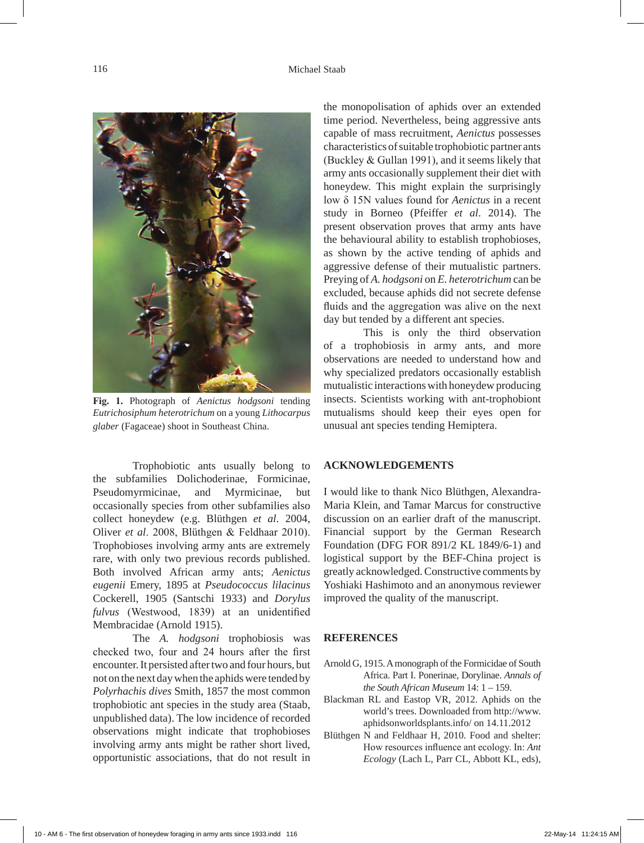

**Fig. 1.** Photograph of *Aenictus hodgsoni* tending *Eutrichosiphum heterotrichum* on a young *Lithocarpus glaber* (Fagaceae) shoot in Southeast China.

Trophobiotic ants usually belong to the subfamilies Dolichoderinae, Formicinae, Pseudomyrmicinae, and Myrmicinae, but occasionally species from other subfamilies also collect honeydew (e.g. Blüthgen *et al*. 2004, Oliver *et al*. 2008, Blüthgen & Feldhaar 2010). Trophobioses involving army ants are extremely rare, with only two previous records published. Both involved African army ants; *Aenictus eugenii* Emery, 1895 at *Pseudococcus lilacinus*  Cockerell, 1905 (Santschi 1933) and *Dorylus fulvus* (Westwood, 1839) at an unidentified Membracidae (Arnold 1915).

The *A. hodgsoni* trophobiosis was checked two, four and 24 hours after the first encounter. It persisted after two and four hours, but not on the next day when the aphids were tended by *Polyrhachis dives* Smith, 1857 the most common trophobiotic ant species in the study area (Staab, unpublished data). The low incidence of recorded observations might indicate that trophobioses involving army ants might be rather short lived, opportunistic associations, that do not result in the monopolisation of aphids over an extended time period. Nevertheless, being aggressive ants capable of mass recruitment, *Aenictus* possesses characteristics of suitable trophobiotic partner ants (Buckley & Gullan 1991), and it seems likely that army ants occasionally supplement their diet with honeydew. This might explain the surprisingly low δ 15N values found for *Aenictus* in a recent study in Borneo (Pfeiffer *et al*. 2014). The present observation proves that army ants have the behavioural ability to establish trophobioses, as shown by the active tending of aphids and aggressive defense of their mutualistic partners. Preying of *A. hodgsoni* on *E. heterotrichum* can be excluded, because aphids did not secrete defense fluids and the aggregation was alive on the next day but tended by a different ant species.

This is only the third observation of a trophobiosis in army ants, and more observations are needed to understand how and why specialized predators occasionally establish mutualistic interactions with honeydew producing insects. Scientists working with ant-trophobiont mutualisms should keep their eyes open for unusual ant species tending Hemiptera.

## **ACKNOWLEDGEMENTS**

I would like to thank Nico Blüthgen, Alexandra-Maria Klein, and Tamar Marcus for constructive discussion on an earlier draft of the manuscript. Financial support by the German Research Foundation (DFG FOR 891/2 KL 1849/6-1) and logistical support by the BEF-China project is greatly acknowledged. Constructive comments by Yoshiaki Hashimoto and an anonymous reviewer improved the quality of the manuscript.

## **REFERENCES**

- Arnold G, 1915. A monograph of the Formicidae of South Africa. Part I. Ponerinae, Dorylinae. *Annals of the South African Museum* 14: 1 – 159.
- Blackman RL and Eastop VR, 2012. Aphids on the world's trees. Downloaded from http://www. aphidsonworldsplants.info/ on 14.11.2012
- Blüthgen N and Feldhaar H, 2010. Food and shelter: How resources influence ant ecology. In: *Ant Ecology* (Lach L, Parr CL, Abbott KL, eds),